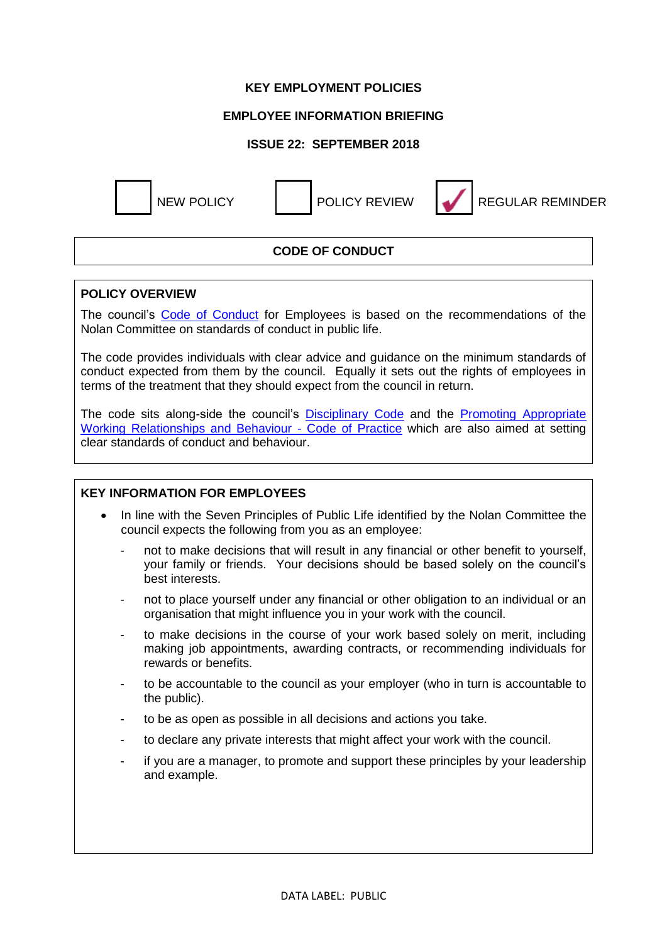### **KEY EMPLOYMENT POLICIES**

## **EMPLOYEE INFORMATION BRIEFING**

## **ISSUE 22: SEPTEMBER 2018**



NEW POLICY POLICY REVIEW REGULAR REMINDER

# **CODE OF CONDUCT**

### **POLICY OVERVIEW**

The council's [Code of Conduct](https://www.westlothian.gov.uk/media/1553/Code-of-Conduct/doc/CodeOfConductForEmployees.docx) for Employees is based on the recommendations of the Nolan Committee on standards of conduct in public life.

The code provides individuals with clear advice and guidance on the minimum standards of conduct expected from them by the council. Equally it sets out the rights of employees in terms of the treatment that they should expect from the council in return.

The code sits along-side the council's [Disciplinary Code](https://www.westlothian.gov.uk/media/1554/Disciplinary-Code/pdf/DisciplinaryCode-18May2016.pdf) and the [Promoting Appropriate](https://intranet.westlothian.gov.uk/CHttpHandler.ashx?id=1551&p=0)  [Working Relationships and Behaviour -](https://intranet.westlothian.gov.uk/CHttpHandler.ashx?id=1551&p=0) Code of Practice which are also aimed at setting clear standards of conduct and behaviour.

### **KEY INFORMATION FOR EMPLOYEES**

- In line with the Seven Principles of Public Life identified by the Nolan Committee the council expects the following from you as an employee:
	- not to make decisions that will result in any financial or other benefit to yourself, your family or friends. Your decisions should be based solely on the council's best interests.
	- not to place yourself under any financial or other obligation to an individual or an organisation that might influence you in your work with the council.
	- to make decisions in the course of your work based solely on merit, including making job appointments, awarding contracts, or recommending individuals for rewards or benefits.
	- to be accountable to the council as your employer (who in turn is accountable to the public).
	- to be as open as possible in all decisions and actions you take.
	- to declare any private interests that might affect your work with the council.
	- if you are a manager, to promote and support these principles by your leadership and example.